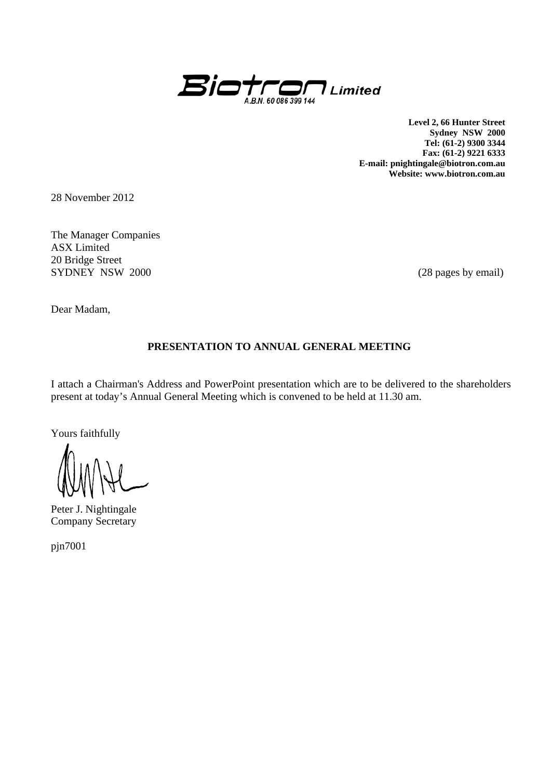

**Level 2, 66 Hunter Street Sydney NSW 2000 Tel: (61-2) 9300 3344 Fax: (61-2) 9221 6333 E-mail: pnightingale@biotron.com.au Website: www.biotron.com.au** 

28 November 2012

The Manager Companies ASX Limited 20 Bridge Street SYDNEY NSW 2000 (28 pages by email)

Dear Madam,

#### **PRESENTATION TO ANNUAL GENERAL MEETING**

I attach a Chairman's Address and PowerPoint presentation which are to be delivered to the shareholders present at today's Annual General Meeting which is convened to be held at 11.30 am.

Yours faithfully

Peter J. Nightingale Company Secretary

pjn7001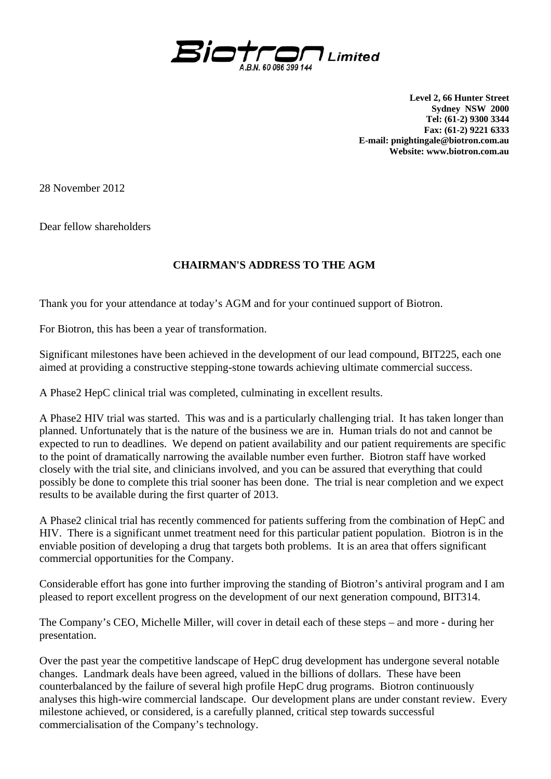

**Level 2, 66 Hunter Street Sydney NSW 2000 Tel: (61-2) 9300 3344 Fax: (61-2) 9221 6333 E-mail: pnightingale@biotron.com.au Website: www.biotron.com.au** 

28 November 2012

Dear fellow shareholders

#### **CHAIRMAN'S ADDRESS TO THE AGM**

Thank you for your attendance at today's AGM and for your continued support of Biotron.

For Biotron, this has been a year of transformation.

Significant milestones have been achieved in the development of our lead compound, BIT225, each one aimed at providing a constructive stepping-stone towards achieving ultimate commercial success.

A Phase2 HepC clinical trial was completed, culminating in excellent results.

A Phase2 HIV trial was started. This was and is a particularly challenging trial. It has taken longer than planned. Unfortunately that is the nature of the business we are in. Human trials do not and cannot be expected to run to deadlines. We depend on patient availability and our patient requirements are specific to the point of dramatically narrowing the available number even further. Biotron staff have worked closely with the trial site, and clinicians involved, and you can be assured that everything that could possibly be done to complete this trial sooner has been done. The trial is near completion and we expect results to be available during the first quarter of 2013.

A Phase2 clinical trial has recently commenced for patients suffering from the combination of HepC and HIV. There is a significant unmet treatment need for this particular patient population. Biotron is in the enviable position of developing a drug that targets both problems. It is an area that offers significant commercial opportunities for the Company.

Considerable effort has gone into further improving the standing of Biotron's antiviral program and I am pleased to report excellent progress on the development of our next generation compound, BIT314.

The Company's CEO, Michelle Miller, will cover in detail each of these steps – and more - during her presentation.

Over the past year the competitive landscape of HepC drug development has undergone several notable changes. Landmark deals have been agreed, valued in the billions of dollars. These have been counterbalanced by the failure of several high profile HepC drug programs. Biotron continuously analyses this high-wire commercial landscape. Our development plans are under constant review. Every milestone achieved, or considered, is a carefully planned, critical step towards successful commercialisation of the Company's technology.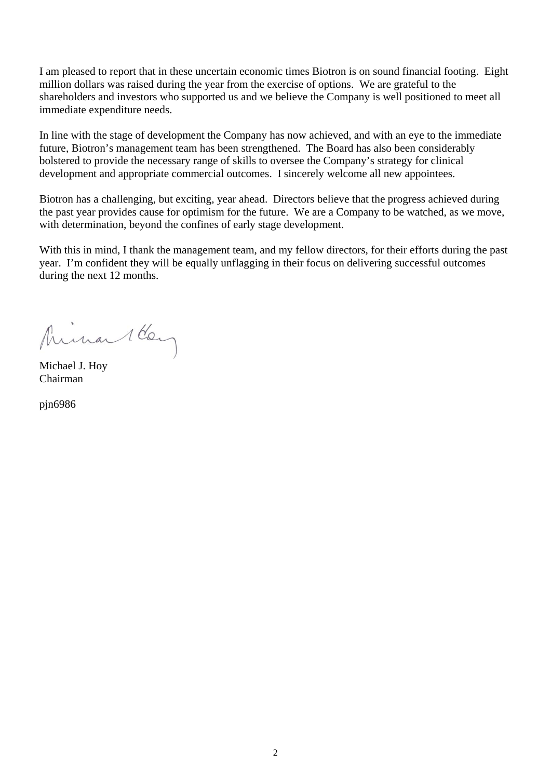I am pleased to report that in these uncertain economic times Biotron is on sound financial footing. Eight million dollars was raised during the year from the exercise of options. We are grateful to the shareholders and investors who supported us and we believe the Company is well positioned to meet all immediate expenditure needs.

In line with the stage of development the Company has now achieved, and with an eye to the immediate future, Biotron's management team has been strengthened. The Board has also been considerably bolstered to provide the necessary range of skills to oversee the Company's strategy for clinical development and appropriate commercial outcomes. I sincerely welcome all new appointees.

Biotron has a challenging, but exciting, year ahead. Directors believe that the progress achieved during the past year provides cause for optimism for the future. We are a Company to be watched, as we move, with determination, beyond the confines of early stage development.

With this in mind, I thank the management team, and my fellow directors, for their efforts during the past year. I'm confident they will be equally unflagging in their focus on delivering successful outcomes during the next 12 months.

Mina 1 Key

Michael J. Hoy Chairman

pjn6986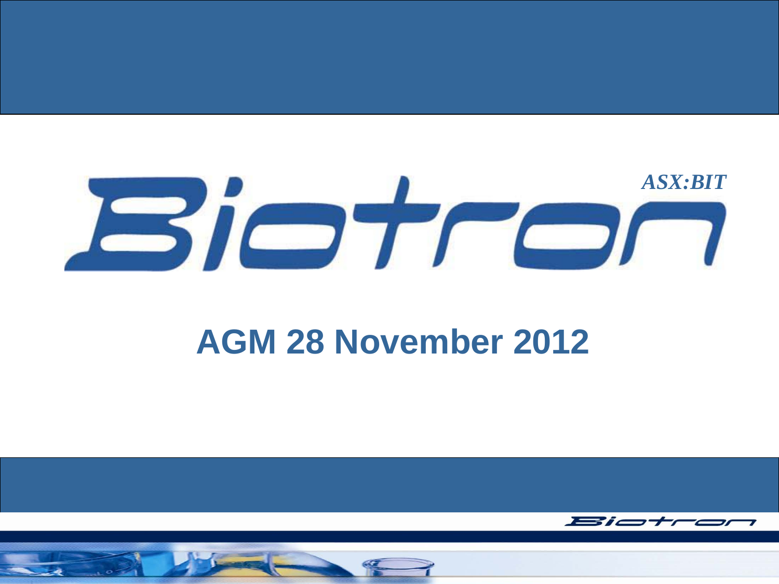

#### **AGM 28 November 2012**



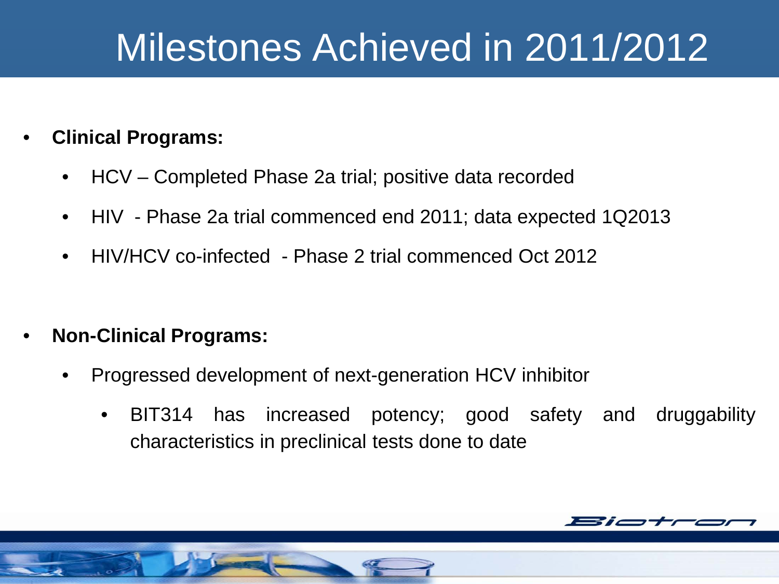#### Milestones Achieved in 2011/2012

#### • **Clinical Programs:**

- HCV Completed Phase 2a trial; positive data recorded
- HIV Phase 2a trial commenced end 2011; data expected 1Q2013
- HIV/HCV co-infected Phase 2 trial commenced Oct 2012
- **Non-Clinical Programs:**
	- Progressed development of next-generation HCV inhibitor
		- BIT314 has increased potency; good safety and druggability characteristics in preclinical tests done to date

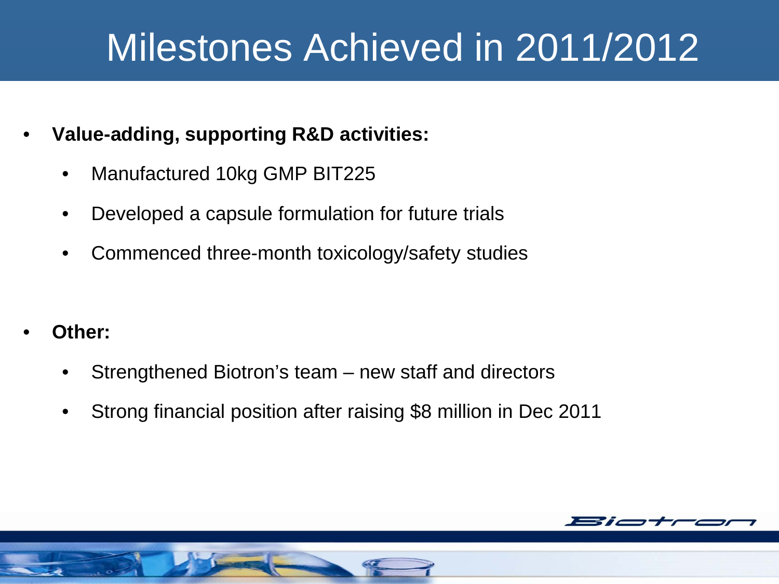#### Milestones Achieved in 2011/2012

- **Value-adding, supporting R&D activities:**
	- Manufactured 10kg GMP BIT225
	- Developed a capsule formulation for future trials
	- Commenced three-month toxicology/safety studies
- **Other:**
	- Strengthened Biotron's team new staff and directors
	- Strong financial position after raising \$8 million in Dec 2011

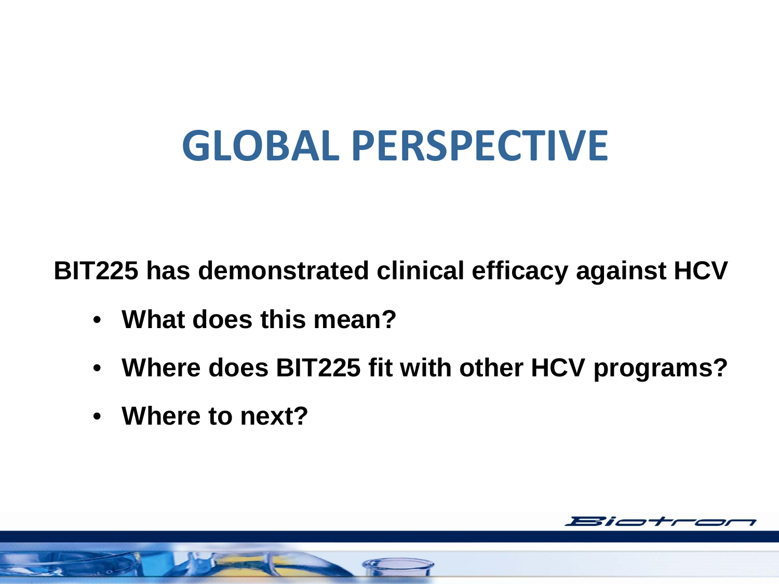## **GLOBAL PERSPECTIVE**

**BIT225 has demonstrated clinical efficacy against HCV**

- **What does this mean?**
- **Where does BIT225 fit with other HCV programs?**
- **Where to next?**

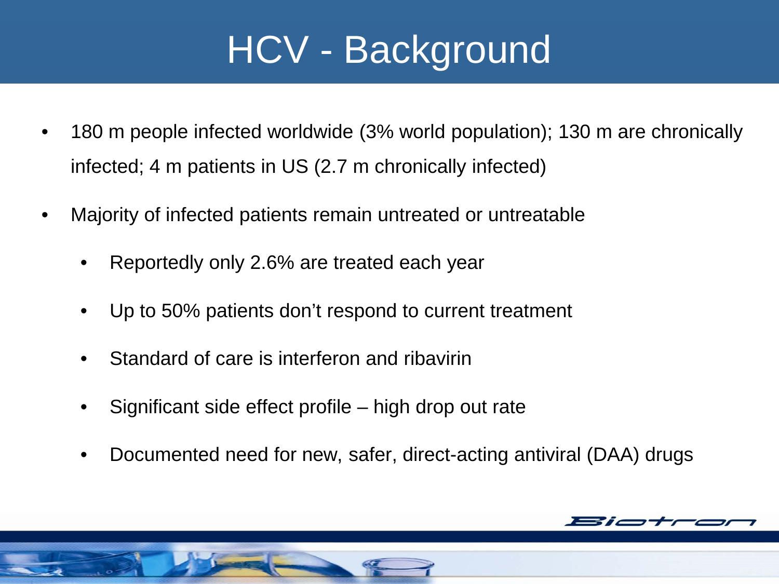#### HCV - Background

- 180 m people infected worldwide (3% world population); 130 m are chronically infected; 4 m patients in US (2.7 m chronically infected)
- Majority of infected patients remain untreated or untreatable
	- Reportedly only 2.6% are treated each year
	- Up to 50% patients don't respond to current treatment
	- Standard of care is interferon and ribavirin
	- Significant side effect profile high drop out rate
	- Documented need for new, safer, direct-acting antiviral (DAA) drugs

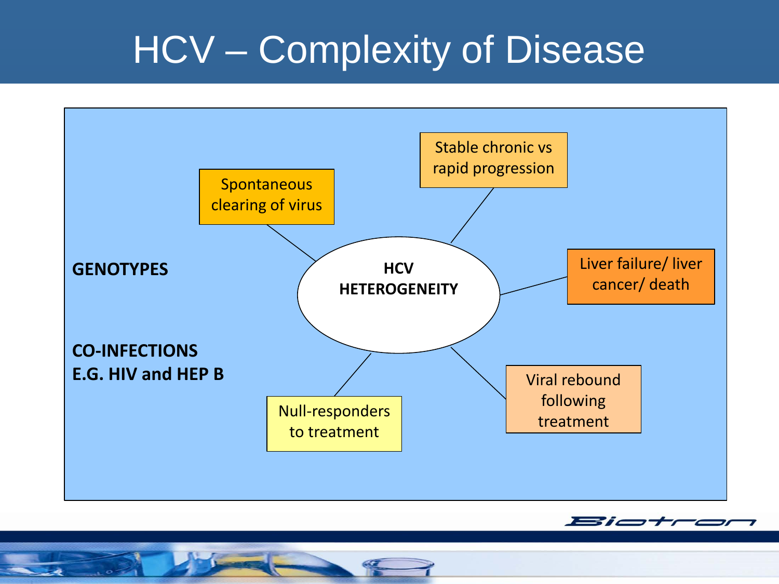#### HCV – Complexity of Disease



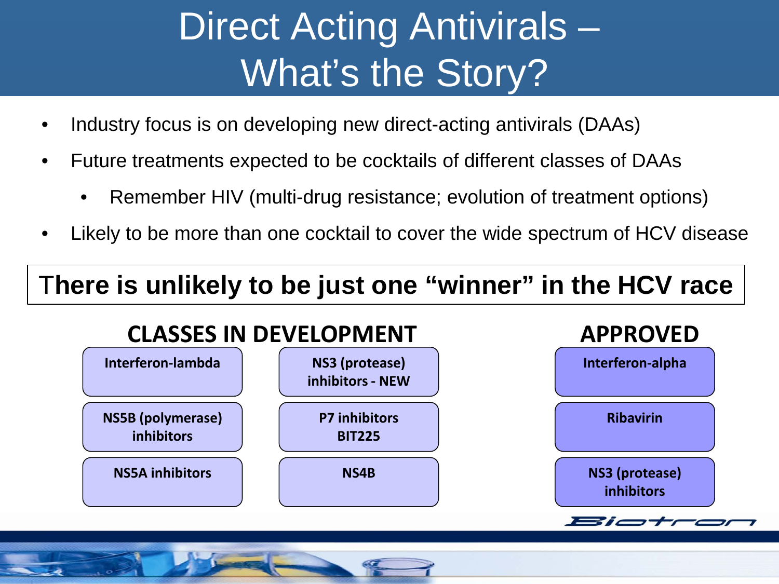## Direct Acting Antivirals – What's the Story?

- Industry focus is on developing new direct-acting antivirals (DAAs)
- Future treatments expected to be cocktails of different classes of DAAs
	- Remember HIV (multi-drug resistance; evolution of treatment options)
- Likely to be more than one cocktail to cover the wide spectrum of HCV disease

#### T**here is unlikely to be just one "winner" in the HCV race**

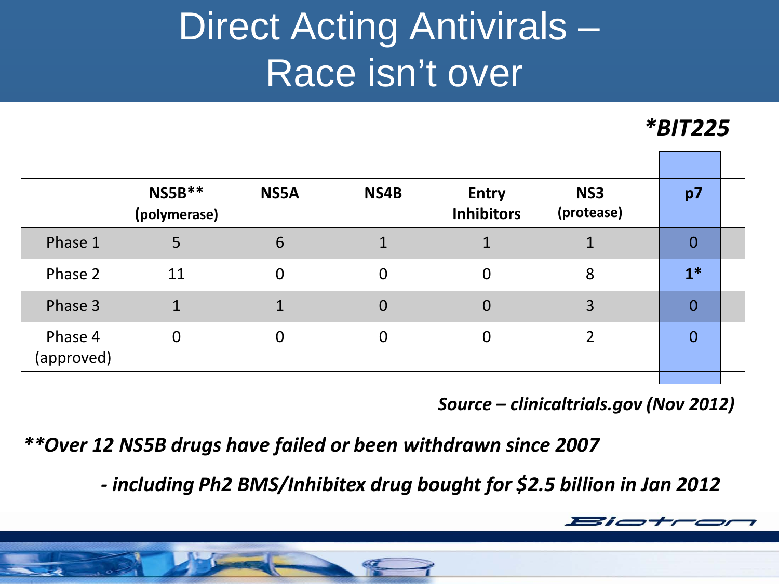### Direct Acting Antivirals – Race isn't over

*\*BIT225*

|                       | $NS5B**$<br>(polymerase) | NS5A     | NS4B             | <b>Entry</b><br><b>Inhibitors</b> | NS <sub>3</sub><br>(protease) | p7             |  |
|-----------------------|--------------------------|----------|------------------|-----------------------------------|-------------------------------|----------------|--|
| Phase 1               | 5                        | 6        |                  |                                   |                               | 0              |  |
| Phase 2               | 11                       | $\Omega$ | $\boldsymbol{0}$ | $\overline{0}$                    | 8                             | $1*$           |  |
| Phase 3               | 1                        |          | $\overline{0}$   | 0                                 | 3                             | $\overline{0}$ |  |
| Phase 4<br>(approved) | $\overline{0}$           | $\Omega$ | $\Omega$         | 0                                 |                               | $\overline{0}$ |  |
|                       |                          |          |                  |                                   |                               |                |  |

 *Source – clinicaltrials.gov (Nov 2012)*

*\*\*Over 12 NS5B drugs have failed or been withdrawn since 2007*

*- including Ph2 BMS/Inhibitex drug bought for \$2.5 billion in Jan 2012*

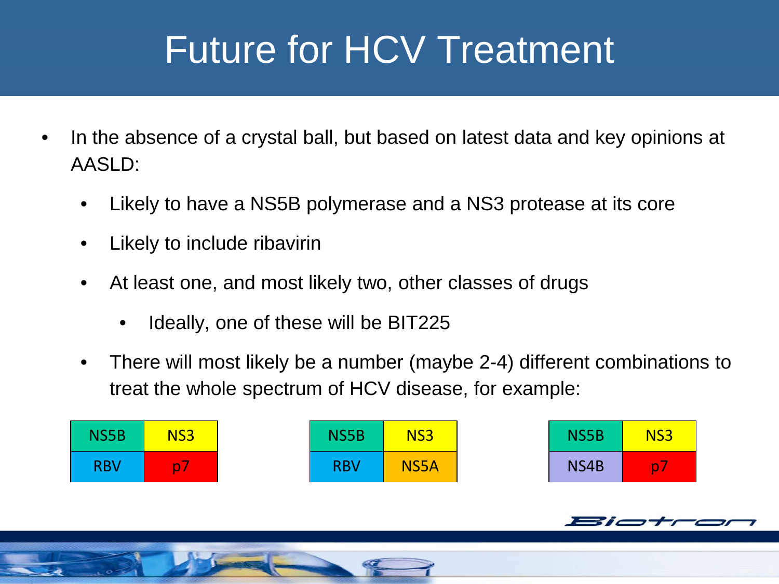### Future for HCV Treatment

- In the absence of a crystal ball, but based on latest data and key opinions at AASLD:
	- Likely to have a NS5B polymerase and a NS3 protease at its core
	- Likely to include ribavirin
	- At least one, and most likely two, other classes of drugs
		- Ideally, one of these will be BIT225
	- There will most likely be a number (maybe 2-4) different combinations to treat the whole spectrum of HCV disease, for example:

| <b>NS5B</b> | NS <sub>3</sub>         | <b>NS5B</b> | NS <sub>3</sub> | <b>NS5B</b> | NS <sub>3</sub> |
|-------------|-------------------------|-------------|-----------------|-------------|-----------------|
| <b>RBV</b>  | $\overline{\mathbf{D}}$ | <b>RBV</b>  | <b>NS5A</b>     | NS4B        | <b>D</b>        |

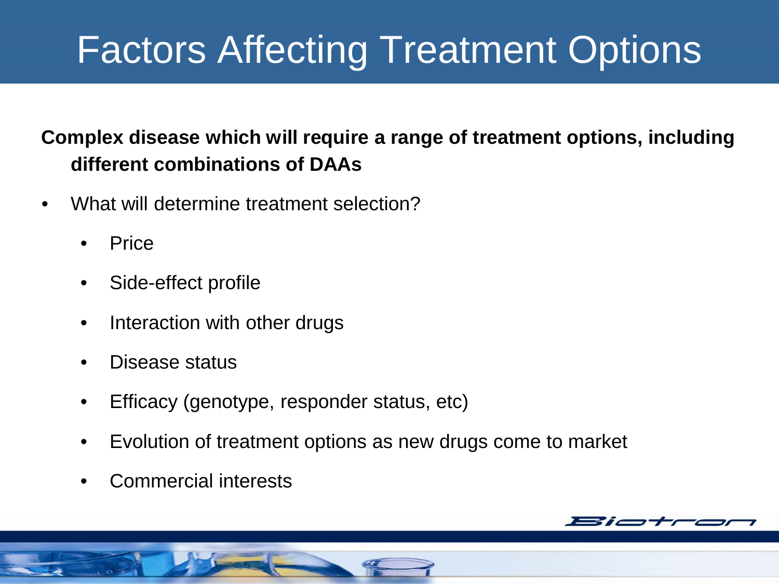### Factors Affecting Treatment Options

#### **Complex disease which will require a range of treatment options, including different combinations of DAAs**

- What will determine treatment selection?
	- Price
	- Side-effect profile
	- Interaction with other drugs
	- Disease status
	- Efficacy (genotype, responder status, etc)
	- Evolution of treatment options as new drugs come to market
	- Commercial interests

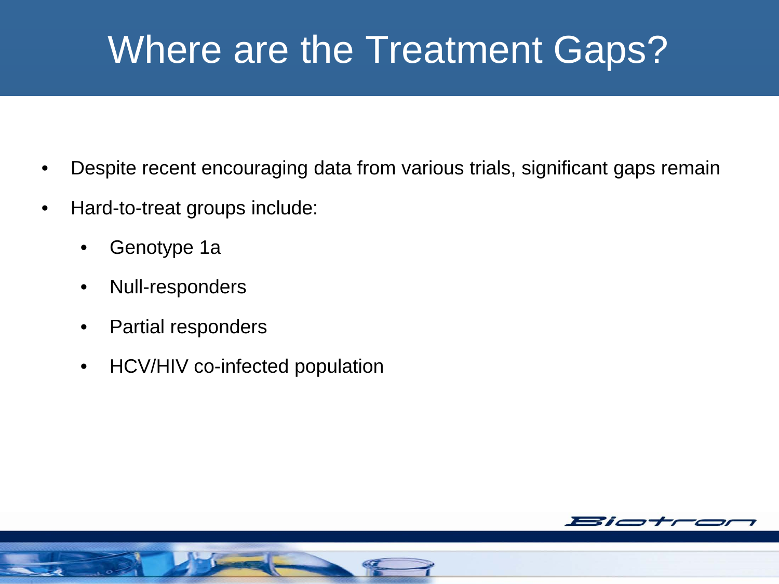#### Where are the Treatment Gaps?

- Despite recent encouraging data from various trials, significant gaps remain
- Hard-to-treat groups include:
	- Genotype 1a
	- Null-responders
	- Partial responders
	- HCV/HIV co-infected population

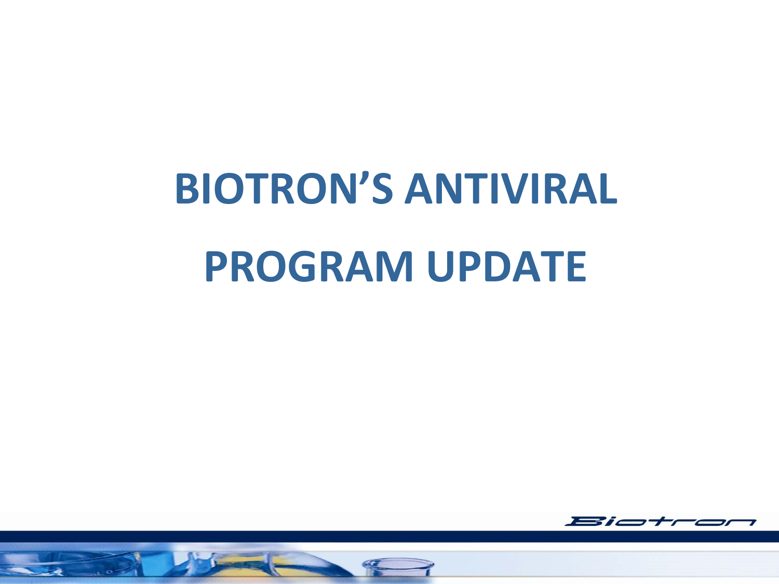# **BIOTRON'S ANTIVIRAL PROGRAM UPDATE**

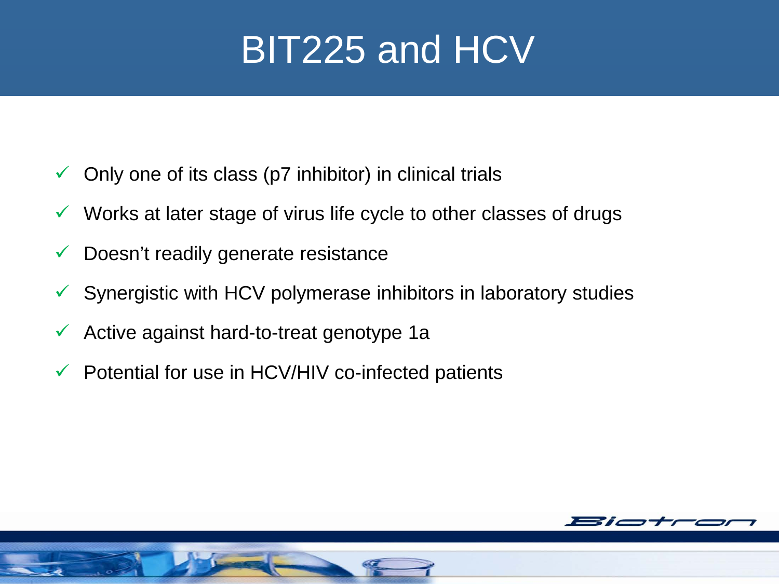#### BIT225 and HCV

- $\checkmark$  Only one of its class (p7 inhibitor) in clinical trials
- $\checkmark$  Works at later stage of virus life cycle to other classes of drugs
- $\checkmark$  Doesn't readily generate resistance
- $\checkmark$  Synergistic with HCV polymerase inhibitors in laboratory studies
- $\checkmark$  Active against hard-to-treat genotype 1a
- $\checkmark$  Potential for use in HCV/HIV co-infected patients

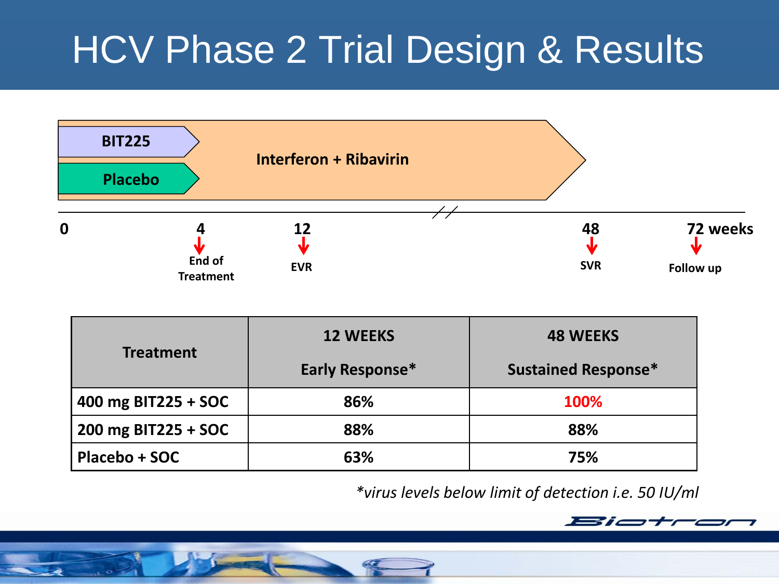### HCV Phase 2 Trial Design & Results



|                     | <b>12 WEEKS</b> | <b>48 WEEKS</b>            |  |
|---------------------|-----------------|----------------------------|--|
| <b>Treatment</b>    | Early Response* | <b>Sustained Response*</b> |  |
| 400 mg BIT225 + SOC | 86%             | 100%                       |  |
| 200 mg BIT225 + SOC | 88%             | 88%                        |  |
| Placebo + SOC       | 63%             | 75%                        |  |

*\*virus levels below limit of detection i.e. 50 IU/ml*

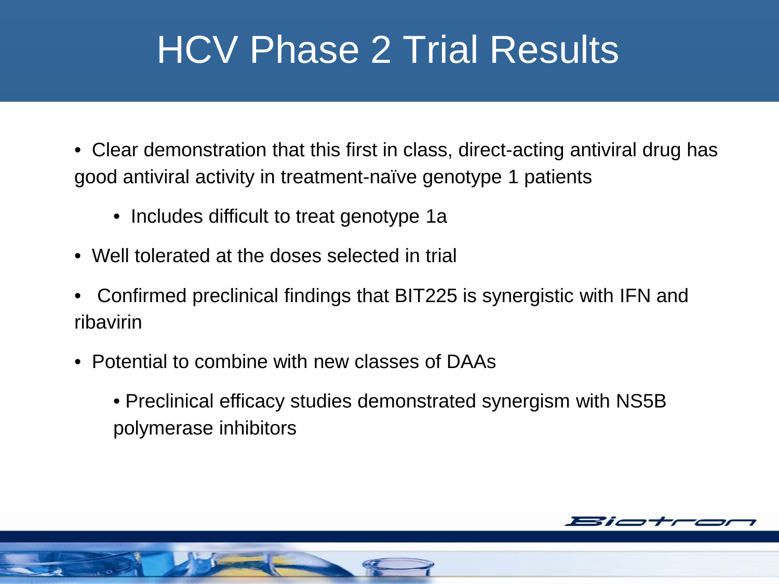#### HCV Phase 2 Trial Results

- Clear demonstration that this first in class, direct-acting antiviral drug has good antiviral activity in treatment-naïve genotype 1 patients
	- Includes difficult to treat genotype 1a
- Well tolerated at the doses selected in trial
- Confirmed preclinical findings that BIT225 is synergistic with IFN and ribavirin
- Potential to combine with new classes of DAAs
	- Preclinical efficacy studies demonstrated synergism with NS5B polymerase inhibitors

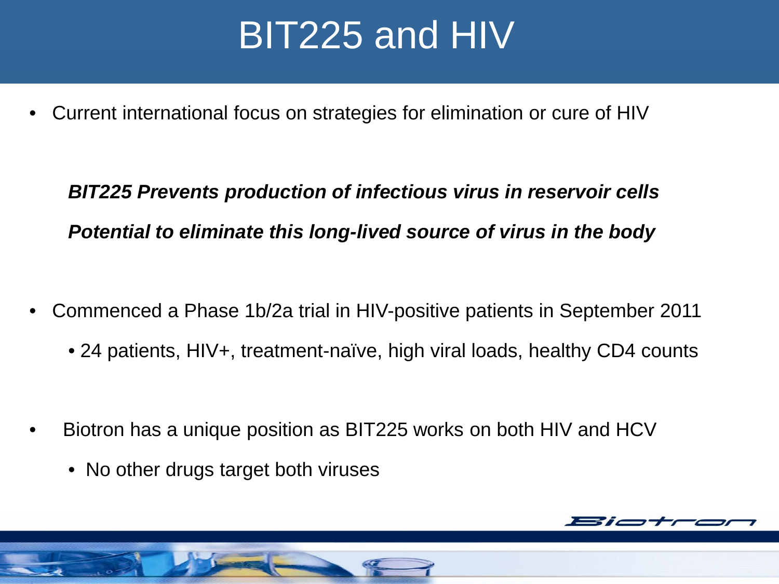#### BIT225 and HIV

• Current international focus on strategies for elimination or cure of HIV

*BIT225 Prevents production of infectious virus in reservoir cells Potential to eliminate this long-lived source of virus in the body*

- Commenced a Phase 1b/2a trial in HIV-positive patients in September 2011
	- 24 patients, HIV+, treatment-naïve, high viral loads, healthy CD4 counts
- Biotron has a unique position as BIT225 works on both HIV and HCV
	- No other drugs target both viruses

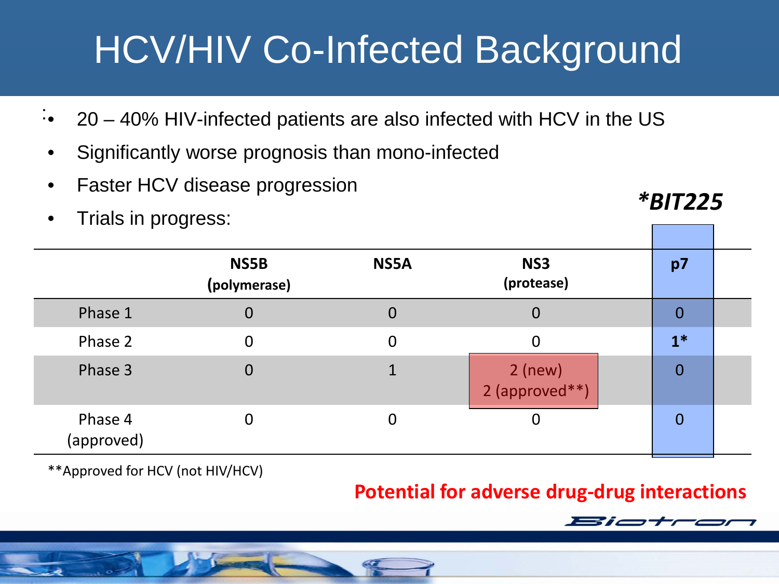## HCV/HIV Co-Infected Background

- $\cdot$  20 40% HIV-infected patients are also infected with HCV in the US
- Significantly worse prognosis than mono-infected
- Faster HCV disease progression
- Trials in progress:

**NS5B (polymerase) NS5A NS3 (protease) p7** Phase 1 0 0 0 <mark>0 0</mark> Phase 2 0 0 0 0 1<sup>\*</sup> Phase 3  $0$  0  $1$  2 (new) 2 (approved\*\*) 0 Phase 4 (approved) 0 0 0 0 0

\*\*Approved for HCV (not HIV/HCV)

#### **Potential for adverse drug-drug interactions**



*\*BIT225*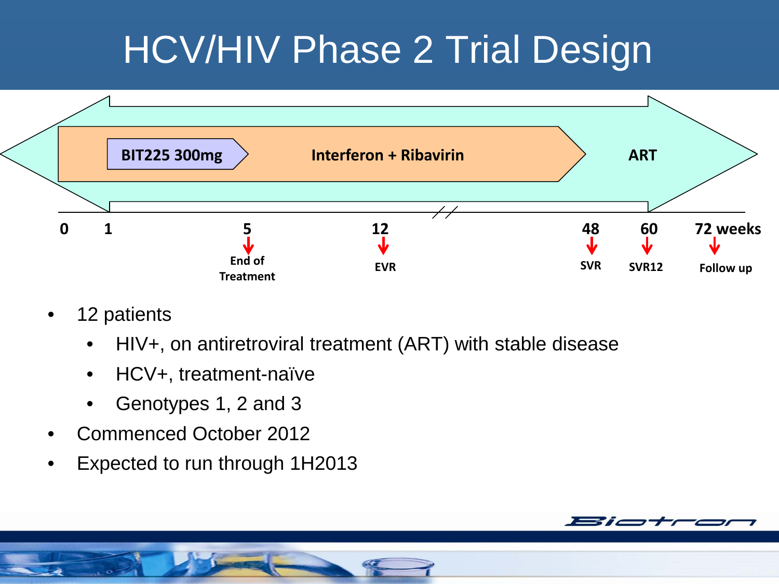### HCV/HIV Phase 2 Trial Design



- 12 patients
	- HIV+, on antiretroviral treatment (ART) with stable disease
	- HCV+, treatment-naïve
	- Genotypes 1, 2 and 3
- Commenced October 2012
- Expected to run through 1H2013

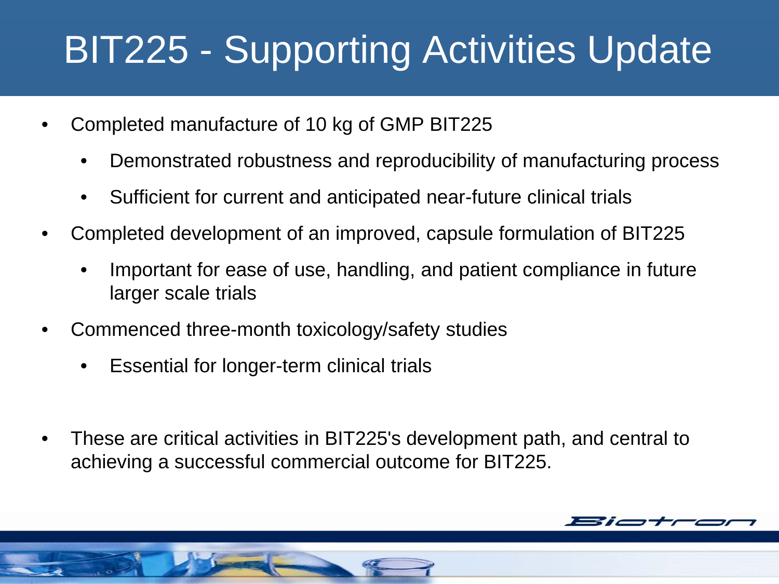### BIT225 - Supporting Activities Update

- Completed manufacture of 10 kg of GMP BIT225
	- Demonstrated robustness and reproducibility of manufacturing process
	- Sufficient for current and anticipated near-future clinical trials
- Completed development of an improved, capsule formulation of BIT225
	- Important for ease of use, handling, and patient compliance in future larger scale trials
- Commenced three-month toxicology/safety studies
	- Essential for longer-term clinical trials
- These are critical activities in BIT225's development path, and central to achieving a successful commercial outcome for BIT225.

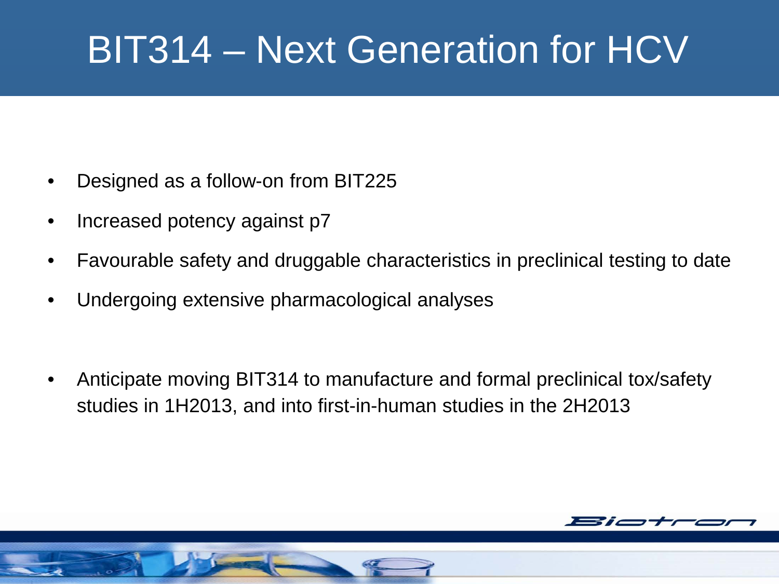### BIT314 – Next Generation for HCV

- Designed as a follow-on from BIT225
- Increased potency against p7
- Favourable safety and druggable characteristics in preclinical testing to date
- Undergoing extensive pharmacological analyses
- Anticipate moving BIT314 to manufacture and formal preclinical tox/safety studies in 1H2013, and into first-in-human studies in the 2H2013

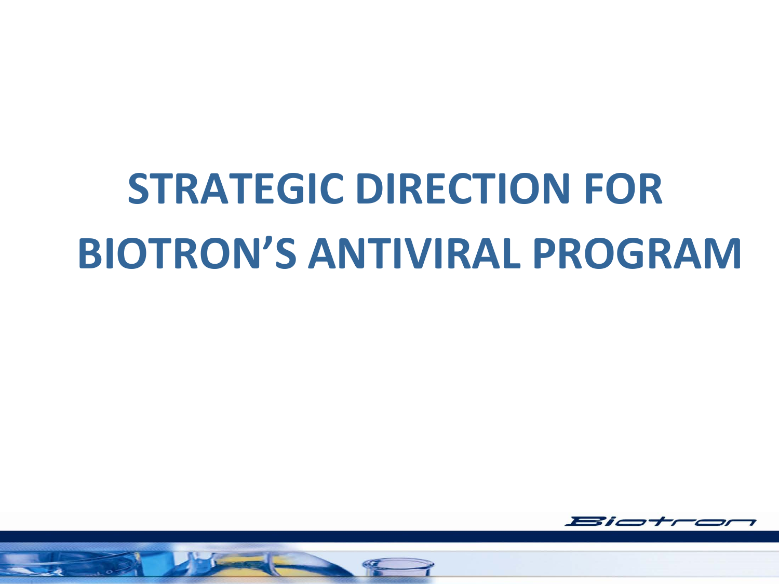# **STRATEGIC DIRECTION FOR BIOTRON'S ANTIVIRAL PROGRAM**



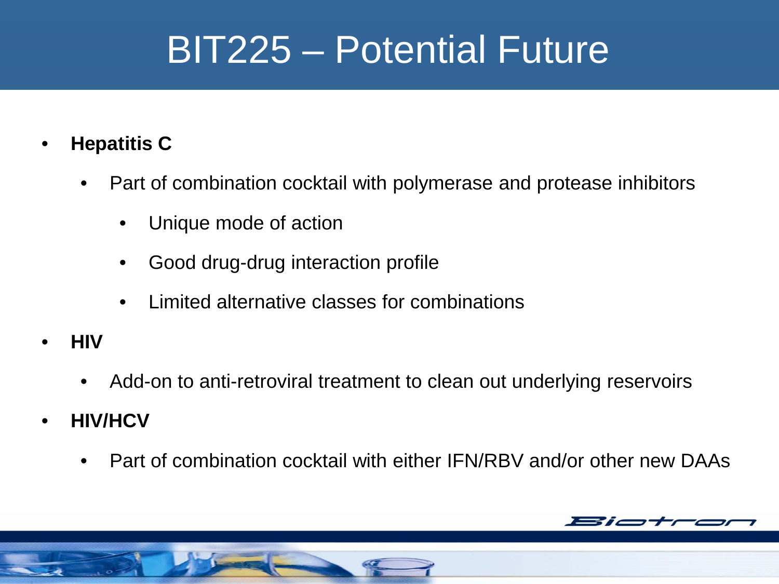#### BIT225 – Potential Future

- **Hepatitis C**
	- Part of combination cocktail with polymerase and protease inhibitors
		- Unique mode of action
		- Good drug-drug interaction profile
		- Limited alternative classes for combinations
- **HIV**
	- Add-on to anti-retroviral treatment to clean out underlying reservoirs
- **HIV/HCV**
	- Part of combination cocktail with either IFN/RBV and/or other new DAAs

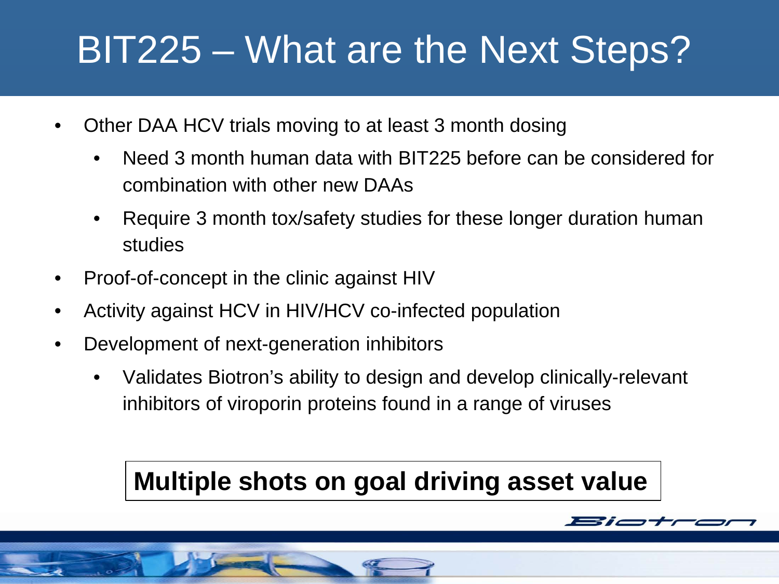#### BIT225 – What are the Next Steps?

- Other DAA HCV trials moving to at least 3 month dosing
	- Need 3 month human data with BIT225 before can be considered for combination with other new DAAs
	- Require 3 month tox/safety studies for these longer duration human studies
- Proof-of-concept in the clinic against HIV
- Activity against HCV in HIV/HCV co-infected population
- Development of next-generation inhibitors
	- Validates Biotron's ability to design and develop clinically-relevant inhibitors of viroporin proteins found in a range of viruses

#### **Multiple shots on goal driving asset value**

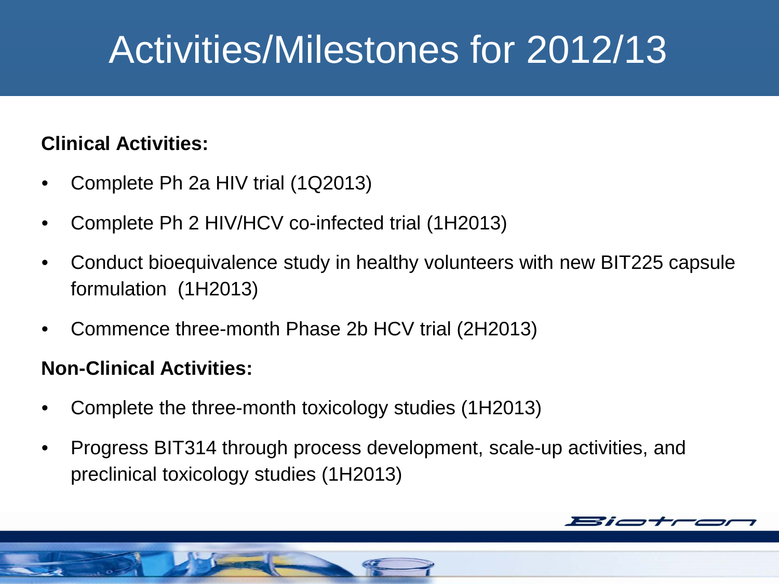#### Activities/Milestones for 2012/13

#### **Clinical Activities:**

- Complete Ph 2a HIV trial (1Q2013)
- Complete Ph 2 HIV/HCV co-infected trial (1H2013)
- Conduct bioequivalence study in healthy volunteers with new BIT225 capsule formulation (1H2013)
- Commence three-month Phase 2b HCV trial (2H2013)

#### **Non-Clinical Activities:**

- Complete the three-month toxicology studies (1H2013)
- Progress BIT314 through process development, scale-up activities, and preclinical toxicology studies (1H2013)